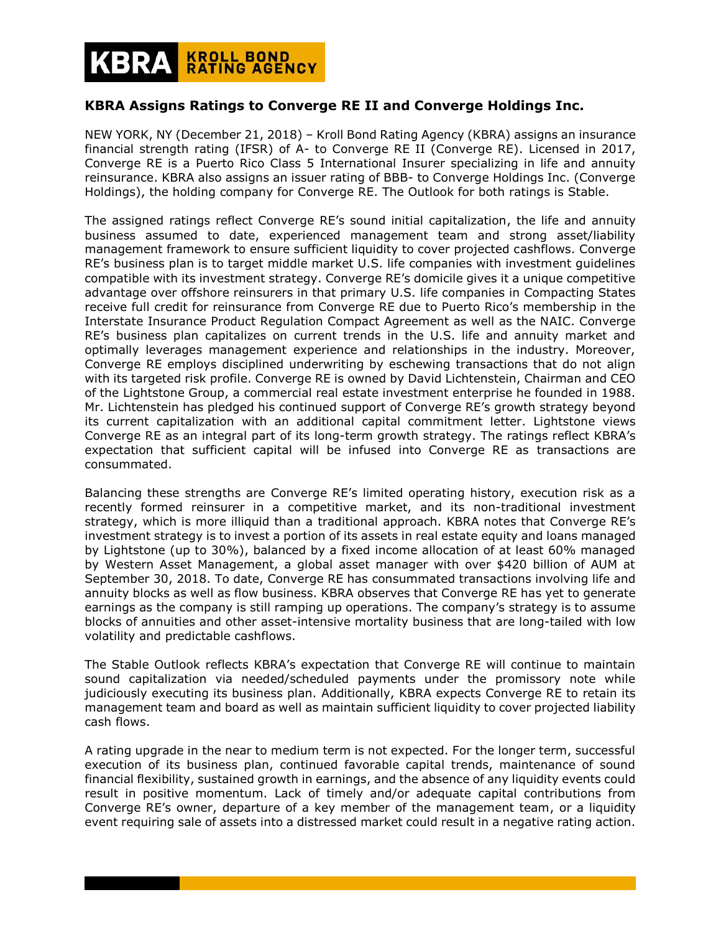## **KROLL BOND<br>RATING AGENCY**

## **KBRA Assigns Ratings to Converge RE II and Converge Holdings Inc.**

NEW YORK, NY (December 21, 2018) – Kroll Bond Rating Agency (KBRA) assigns an insurance financial strength rating (IFSR) of A- to Converge RE II (Converge RE). Licensed in 2017, Converge RE is a Puerto Rico Class 5 International Insurer specializing in life and annuity reinsurance. KBRA also assigns an issuer rating of BBB- to Converge Holdings Inc. (Converge Holdings), the holding company for Converge RE. The Outlook for both ratings is Stable.

The assigned ratings reflect Converge RE's sound initial capitalization, the life and annuity business assumed to date, experienced management team and strong asset/liability management framework to ensure sufficient liquidity to cover projected cashflows. Converge RE's business plan is to target middle market U.S. life companies with investment guidelines compatible with its investment strategy. Converge RE's domicile gives it a unique competitive advantage over offshore reinsurers in that primary U.S. life companies in Compacting States receive full credit for reinsurance from Converge RE due to Puerto Rico's membership in the Interstate Insurance Product Regulation Compact Agreement as well as the NAIC. Converge RE's business plan capitalizes on current trends in the U.S. life and annuity market and optimally leverages management experience and relationships in the industry. Moreover, Converge RE employs disciplined underwriting by eschewing transactions that do not align with its targeted risk profile. Converge RE is owned by David Lichtenstein, Chairman and CEO of the Lightstone Group, a commercial real estate investment enterprise he founded in 1988. Mr. Lichtenstein has pledged his continued support of Converge RE's growth strategy beyond its current capitalization with an additional capital commitment letter. Lightstone views Converge RE as an integral part of its long-term growth strategy. The ratings reflect KBRA's expectation that sufficient capital will be infused into Converge RE as transactions are consummated.

Balancing these strengths are Converge RE's limited operating history, execution risk as a recently formed reinsurer in a competitive market, and its non-traditional investment strategy, which is more illiquid than a traditional approach. KBRA notes that Converge RE's investment strategy is to invest a portion of its assets in real estate equity and loans managed by Lightstone (up to 30%), balanced by a fixed income allocation of at least 60% managed by Western Asset Management, a global asset manager with over \$420 billion of AUM at September 30, 2018. To date, Converge RE has consummated transactions involving life and annuity blocks as well as flow business. KBRA observes that Converge RE has yet to generate earnings as the company is still ramping up operations. The company's strategy is to assume blocks of annuities and other asset-intensive mortality business that are long-tailed with low volatility and predictable cashflows.

The Stable Outlook reflects KBRA's expectation that Converge RE will continue to maintain sound capitalization via needed/scheduled payments under the promissory note while judiciously executing its business plan. Additionally, KBRA expects Converge RE to retain its management team and board as well as maintain sufficient liquidity to cover projected liability cash flows.

A rating upgrade in the near to medium term is not expected. For the longer term, successful execution of its business plan, continued favorable capital trends, maintenance of sound financial flexibility, sustained growth in earnings, and the absence of any liquidity events could result in positive momentum. Lack of timely and/or adequate capital contributions from Converge RE's owner, departure of a key member of the management team, or a liquidity event requiring sale of assets into a distressed market could result in a negative rating action.